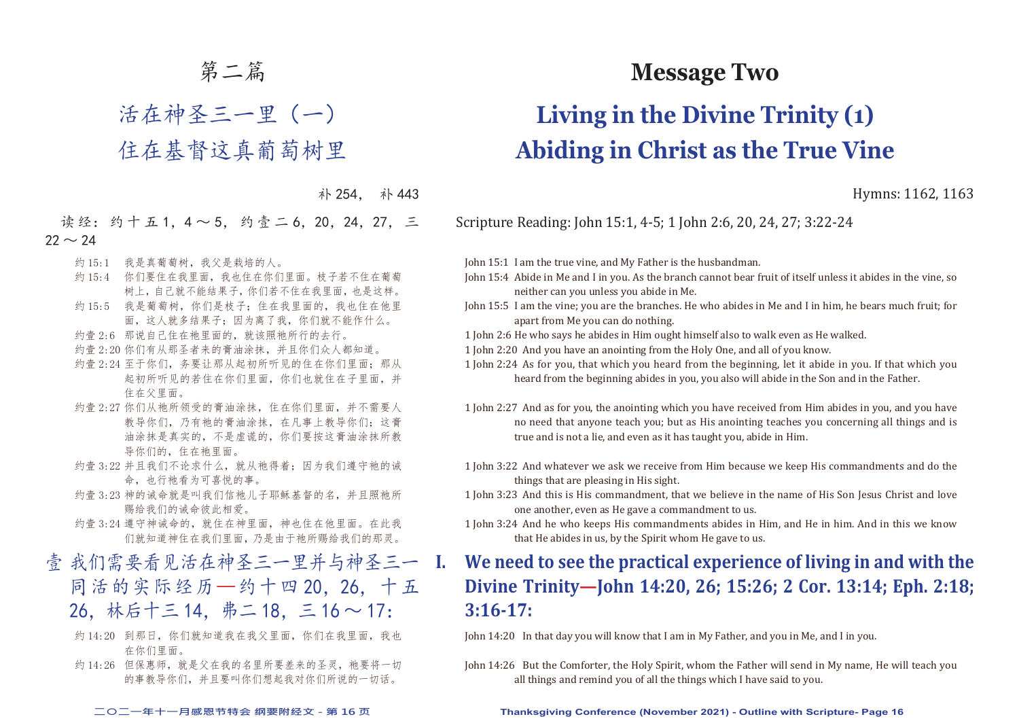## 第二篇

## 活在神圣三一里(一) 住在基督这真葡萄树里

补 254. 补 443

读经: 约十五1, 4~5, 约壹二6, 20, 24, 27, 三  $22 \sim 24$ 

- 约 15:1 我是真葡萄树,我父是栽培的人。
- 约 15:4 你们要住在我里面,我也住在你们里面。枝子若不住在葡萄 树上,自己就不能结果子,你们若不住在我里面,也是这样。
- 约 15:5 我是葡萄树,你们是枝子;住在我里面的,我也住在他里 面,这人就多结果子;因为离了我,你们就不能作什么。
- 约壹 2:6 那说自己住在祂里面的, 就该照祂所行的去行。
- 约壹 2:20 你们有从那圣者来的膏油涂抹,并且你们众人都知道。
- 约壹 2:24 至于你们, 务要让那从起初所听见的住在你们里面; 那从 起初所听见的若住在你们里面,你们也就住在子里面,并 住在父里面。
- 约壹 2:27 你们从祂所领受的膏油涂抹, 住在你们里面, 并不需要人 教导你们,乃有祂的膏油涂抹,在凡事上教导你们;这膏 油涂抹是真实的,不是虚谎的,你们要按这膏油涂抹所教 导你们的,住在祂里面。
- 约壹 3:22 并且我们不论求什么, 就从祂得着; 因为我们遵守祂的诫 命,也行祂看为可喜悦的事。
- 约壹 3:23 神的诫命就是叫我们信祂儿子耶稣基督的名,并且照祂所 赐给我们的诫命彼此相爱。
- 约壹 3:24 遵守神诫命的, 就住在神里面, 神也住在他里面。在此我 们就知道神住在我们里面,乃是由于祂所赐给我们的那灵。
- 壹 我们需要看见活在神圣三一里并与神圣三一 I. 同活的实际经历—约十四 20,26,十五 26,林后十三 14,弗二 18,三 16 ~ 17:
	- 约 14:20 到那日, 你们就知道我在我父里面, 你们在我里面, 我也 在你们里面。
	- 约 14:26 但保惠师, 就是父在我的名里所要差来的圣灵, 祂要将一切 的事教导你们,并且要叫你们想起我对你们所说的一切话。

## **Message Two**

# **Living in the Divine Trinity (1) Abiding in Christ as the True Vine**

Hymns: 1162, 1163

Scripture Reading: John 15:1, 4-5; 1 John 2:6, 20, 24, 27; 3:22-24

John 15:1 I am the true vine, and My Father is the husbandman.

- John 15:4 Abide in Me and I in you. As the branch cannot bear fruit of itself unless it abides in the vine, so neither can you unless you abide in Me.
- John 15:5 I am the vine; you are the branches. He who abides in Me and I in him, he bears much fruit; for apart from Me you can do nothing.
- 1 John 2:6 He who says he abides in Him ought himself also to walk even as He walked.
- 1 John 2:20 And you have an anointing from the Holy One, and all of you know.
- 1 John 2:24 As for you, that which you heard from the beginning, let it abide in you. If that which you heard from the beginning abides in you, you also will abide in the Son and in the Father.
- 1 John 2:27 And as for you, the anointing which you have received from Him abides in you, and you have no need that anyone teach you; but as His anointing teaches you concerning all things and is true and is not a lie, and even as it has taught you, abide in Him.
- 1 John 3:22 And whatever we ask we receive from Him because we keep His commandments and do the things that are pleasing in His sight.
- 1 John 3:23 And this is His commandment, that we believe in the name of His Son Jesus Christ and love one another, even as He gave a commandment to us.
- 1 John 3:24 And he who keeps His commandments abides in Him, and He in him. And in this we know that He abides in us, by the Spirit whom He gave to us.

## **I. We need to see the practical experience of living in and with the Divine Trinity—John 14:20, 26; 15:26; 2 Cor. 13:14; Eph. 2:18; 3:16-17:**

John 14:20 In that day you will know that I am in My Father, and you in Me, and I in you.

John 14:26 But the Comforter, the Holy Spirit, whom the Father will send in My name, He will teach you all things and remind you of all the things which I have said to you.

#### **二○二一年十一月感恩节特会 纲要附经文 - 第 16 页 Thanksgiving Conference (November 2021) - Outline with Scripture- Page 16**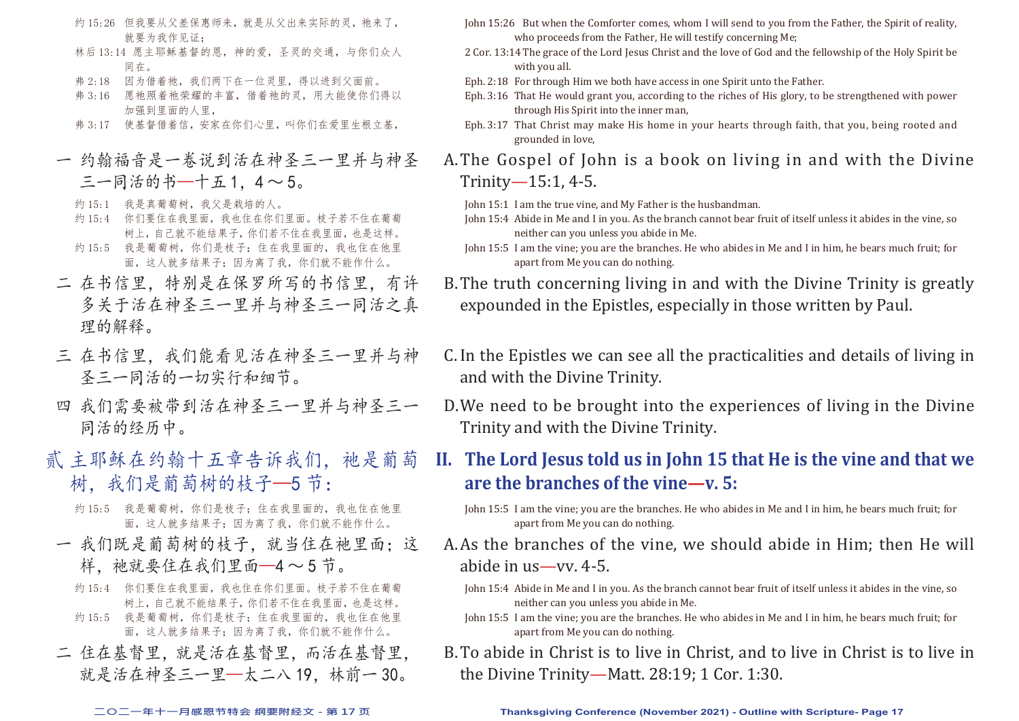- 约 15:26 但我要从父差保惠师来, 就是从父出来实际的灵, 祂来了, 就要为我作见证:
- 林后 13:14 愿主耶稣基督的恩,神的爱,圣灵的交通,与你们众人 同在。
- 弗 2:18 因为借着祂, 我们两下在一位灵里, 得以进到父面前。
- 弗 3:16 愿祂照着祂荣耀的丰富,借着祂的灵,用大能使你们得以 加强到里面的人里,
- 弗 3:17 使基督借着信,安家在你们心里,叫你们在爱里生根立基,
- 一 约翰福音是一卷说到活在神圣三一里并与神圣  $=$   $-$  同活的书––十五1,4  $\sim$  5。
	- 约 15:1 我是真葡萄树, 我父是栽培的人。
	- 约 15:4 你们要住在我里面,我也住在你们里面。枝子若不住在葡萄 树上,自己就不能结果子,你们若不住在我里面,也是这样。
	- 约 15:5 我是葡萄树,你们是枝子;住在我里面的,我也住在他里 面,这人就多结果子;因为离了我,你们就不能作什么。
- 二 在书信里,特别是在保罗所写的书信里,有许 多关于活在神圣三一里并与神圣三一同活之真 理的解释。
- 三 在书信里,我们能看见活在神圣三一里并与神 圣三一同活的一切实行和细节。
- 四 我们需要被带到活在神圣三一里并与神圣三一 同活的经历中。
- 贰 主耶稣在约翰十五章告诉我们, 祂是葡萄 树,我们是葡萄树的枝子—5 节:
	- 约 15:5 我是葡萄树,你们是枝子;住在我里面的,我也住在他里 面,这人就多结果子;因为离了我,你们就不能作什么。
	- 一 我们既是葡萄树的枝子,就当住在祂里面;这 样, 祂就要住在我们里面—4~5节。
		- 约 15:4 你们要住在我里面,我也住在你们里面。枝子若不住在葡萄 树上,自己就不能结果子,你们若不住在我里面,也是这样。
		- 约 15:5 我是葡萄树,你们是枝子;住在我里面的,我也住在他里 面,这人就多结果子;因为离了我,你们就不能作什么。
	- 二 住在基督里,就是活在基督里,而活在基督里, 就是活在神圣三一里—太二八 19,林前一 30。
- John 15:26 But when the Comforter comes, whom I will send to you from the Father, the Spirit of reality, who proceeds from the Father, He will testify concerning Me;
- 2 Cor. 13:14 The grace of the Lord Jesus Christ and the love of God and the fellowship of the Holy Spirit be with you all.
- Eph. 2:18 For through Him we both have access in one Spirit unto the Father.
- Eph. 3:16 That He would grant you, according to the riches of His glory, to be strengthened with power through His Spirit into the inner man,
- Eph. 3:17 That Christ may make His home in your hearts through faith, that you, being rooted and grounded in love,

A. The Gospel of John is a book on living in and with the Divine Trinity—15:1, 4-5.

- John 15:1 I am the true vine, and My Father is the husbandman.
- John 15:4 Abide in Me and I in you. As the branch cannot bear fruit of itself unless it abides in the vine, so neither can you unless you abide in Me.
- John 15:5 I am the vine; you are the branches. He who abides in Me and I in him, he bears much fruit; for apart from Me you can do nothing.
- B. The truth concerning living in and with the Divine Trinity is greatly expounded in the Epistles, especially in those written by Paul.
- C. In the Epistles we can see all the practicalities and details of living in and with the Divine Trinity.
- D. We need to be brought into the experiences of living in the Divine Trinity and with the Divine Trinity.

## **II. The Lord Jesus told us in John 15 that He is the vine and that we are the branches of the vine—v. 5:**

- John 15:5 I am the vine; you are the branches. He who abides in Me and I in him, he bears much fruit; for apart from Me you can do nothing.
- A. As the branches of the vine, we should abide in Him; then He will abide in us—vv. 4-5.
	- John 15:4 Abide in Me and I in you. As the branch cannot bear fruit of itself unless it abides in the vine, so neither can you unless you abide in Me.
	- John 15:5 I am the vine; you are the branches. He who abides in Me and I in him, he bears much fruit; for apart from Me you can do nothing.
- B. To abide in Christ is to live in Christ, and to live in Christ is to live in the Divine Trinity—Matt. 28:19; 1 Cor. 1:30.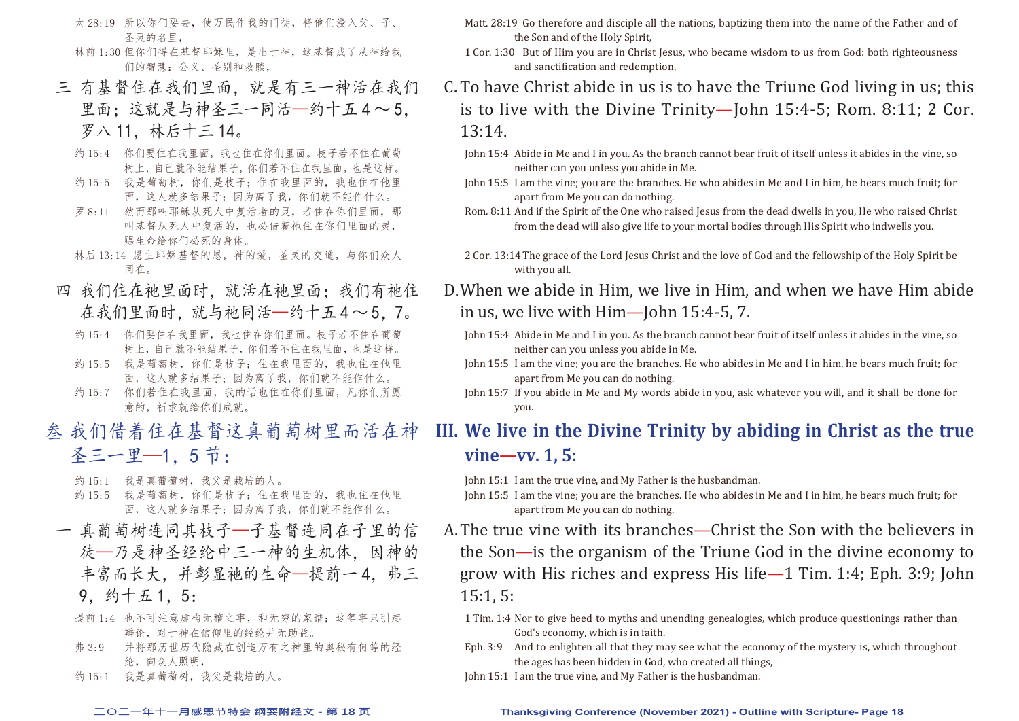- 太 28:19 所以你们要去,使万民作我的门徒,将他们浸入父、子、 圣灵的名里,
- 林前 1:30 但你们得在基督耶稣里,是出于神,这基督成了从神给我 们的智慧:公义、圣别和救赎,
- 三 有基督住在我们里面,就是有三一神活在我们 里面:这就是与神圣三一同活—约十五4~5. 罗八 11,林后十三 14。
	- 约 15:4 你们要住在我里面,我也住在你们里面。枝子若不住在葡萄 树上,自己就不能结果子,你们若不住在我里面,也是这样。
	- 约 15:5 我是葡萄树,你们是枝子;住在我里面的,我也住在他里 面,这人就多结果子;因为离了我,你们就不能作什么。
	- 罗 8:11 然而那叫耶稣从死人中复活者的灵,若住在你们里面,那 叫基督从死人中复活的,也必借着祂住在你们里面的灵, 赐生命给你们必死的身体。
	- 林后 13:14 愿主耶稣基督的恩,神的爱,圣灵的交通,与你们众人 同在。
- 四 我们住在祂里面时,就活在祂里面;我们有祂住 在我们里面时,就与祂同活—约十五4~5.7。
	- 约 15:4 你们要住在我里面,我也住在你们里面。枝子若不住在葡萄 树上,自己就不能结果子,你们若不住在我里面,也是这样。
	- 约 15:5 我是葡萄树, 你们是枝子; 住在我里面的, 我也住在他里 面,这人就多结果子;因为离了我,你们就不能作什么。
	- 约 15:7 你们若住在我里面,我的话也住在你们里面,凡你们所愿 意的,祈求就给你们成就。
- 叁 我们借着住在基督这真葡萄树里而活在神 圣三一里—1,5 节:
	- 约 15:1 我是真葡萄树, 我父是栽培的人。
	- 约 15:5 我是葡萄树,你们是枝子;住在我里面的,我也住在他里 面,这人就多结果子;因为离了我,你们就不能作什么。
- 一 真葡萄树连同其枝子—子基督连同在子里的信 徒—乃是神圣经纶中三一神的生机体,因神的 丰富而长大,并彰显祂的生命—提前一4,弗三 9,约十五 1,5:
	- 提前 1:4 也不可注意虚构无稽之事, 和无穷的家谱; 这等事只引起 辩论,对于神在信仰里的经纶并无助益。
	- 弗 3:9 并将那历世历代隐藏在创造万有之神里的奥秘有何等的经 纶,向众人照明,
	- 约 15:1 我是真葡萄树,我父是栽培的人。
- Matt. 28:19 Go therefore and disciple all the nations, baptizing them into the name of the Father and of the Son and of the Holy Spirit,
- 1 Cor. 1:30 But of Him you are in Christ Jesus, who became wisdom to us from God: both righteousness and sanctification and redemption,
- C. To have Christ abide in us is to have the Triune God living in us; this is to live with the Divine Trinity—John 15:4-5; Rom. 8:11; 2 Cor. 13:14.
	- John 15:4 Abide in Me and I in you. As the branch cannot bear fruit of itself unless it abides in the vine, so neither can you unless you abide in Me.
	- John 15:5 I am the vine; you are the branches. He who abides in Me and I in him, he bears much fruit; for apart from Me you can do nothing.
	- Rom. 8:11 And if the Spirit of the One who raised Jesus from the dead dwells in you, He who raised Christ from the dead will also give life to your mortal bodies through His Spirit who indwells you.
	- 2 Cor. 13:14 The grace of the Lord Jesus Christ and the love of God and the fellowship of the Holy Spirit be with you all.
- D. When we abide in Him, we live in Him, and when we have Him abide in us, we live with Him—John 15:4-5, 7.
	- John 15:4 Abide in Me and I in you. As the branch cannot bear fruit of itself unless it abides in the vine, so neither can you unless you abide in Me.
	- John 15:5 I am the vine; you are the branches. He who abides in Me and I in him, he bears much fruit; for apart from Me you can do nothing.
	- John 15:7 If you abide in Me and My words abide in you, ask whatever you will, and it shall be done for you.

## **III. We live in the Divine Trinity by abiding in Christ as the true vine—vv. 1, 5:**

John 15:1 I am the true vine, and My Father is the husbandman.

- John 15:5 I am the vine; you are the branches. He who abides in Me and I in him, he bears much fruit; for apart from Me you can do nothing.
- A. The true vine with its branches—Christ the Son with the believers in the Son—is the organism of the Triune God in the divine economy to grow with His riches and express His life—1 Tim. 1:4; Eph. 3:9; John 15:1, 5:
	- 1 Tim. 1:4 Nor to give heed to myths and unending genealogies, which produce questionings rather than God's economy, which is in faith.
	- Eph. 3:9 And to enlighten all that they may see what the economy of the mystery is, which throughout the ages has been hidden in God, who created all things,
	- John 15:1 I am the true vine, and My Father is the husbandman.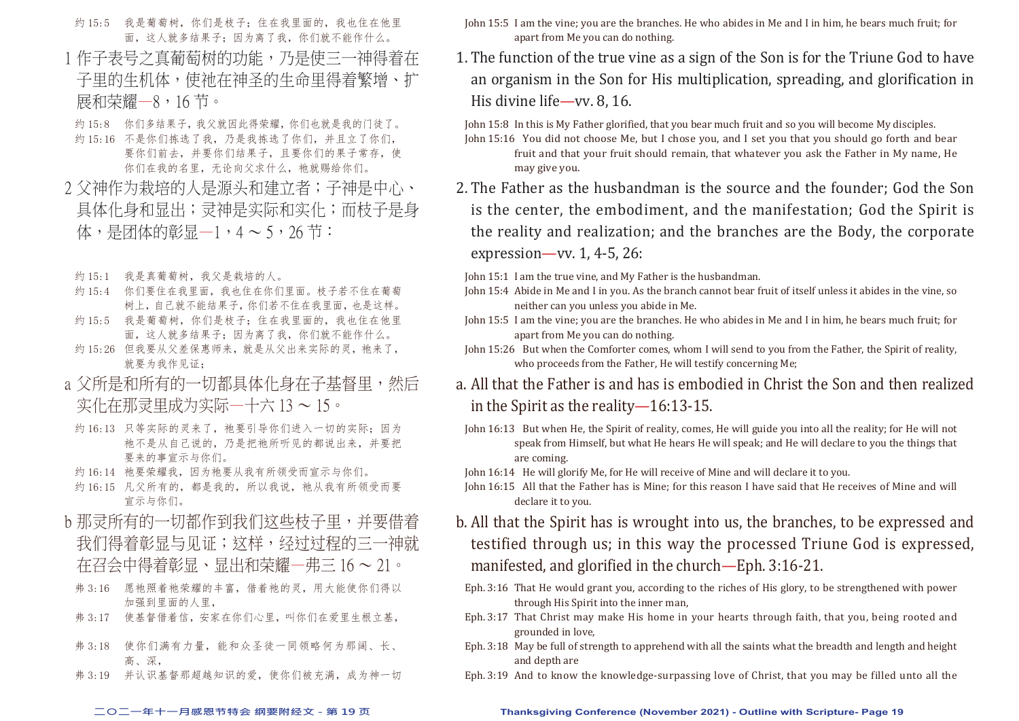- 约 15:5 我是葡萄树,你们是枝子;住在我里面的,我也住在他里 面,这人就多结果子;因为离了我,你们就不能作什么。
- 1 作子表号之真葡萄树的功能,乃是使三一神得着在 子里的生机体,使祂在神圣的生命里得着繁增、扩 展和荣耀—8,16 节。
- 约 15:8 你们多结果子,我父就因此得荣耀,你们也就是我的门徒了。
- 约 15:16 不是你们拣选了我,乃是我拣选了你们,并且立了你们, 要你们前去,并要你们结果子,且要你们的果子常存,使 你们在我的名里,无论向父求什么,祂就赐给你们。
- 2 父神作为栽培的人是源头和建立者;子神是中心、 具体化身和显出;灵神是实际和实化;而枝子是身 体,是团体的彰显—1,4 ~ 5,26 节:
	- 约 15:1 我是真葡萄树,我父是栽培的人。
	- 约 15:4 你们要住在我里面,我也住在你们里面。枝子若不住在葡萄 树上,自己就不能结果子,你们若不住在我里面,也是这样。
- 约 15:5 我是葡萄树, 你们是枝子; 住在我里面的, 我也住在他里 面,这人就多结果子;因为离了我,你们就不能作什么。
- 约 15:26 但我要从父差保惠师来,就是从父出来实际的灵,祂来了, 就要为我作见证:
- a 父所是和所有的一切都具体化身在子基督里, 然后 实化在那灵里成为实际—十六 13 ~ 15。
- 约 16:13 只等实际的灵来了, 祂要引导你们进入一切的实际; 因为 祂不是从自己说的,乃是把祂所听见的都说出来,并要把 要来的事宣示与你们。
- 约 16:14 祂要荣耀我,因为祂要从我有所领受而宣示与你们。
- 约 16:15 凡父所有的, 都是我的, 所以我说, 祂从我有所领受而要 宣示与你们。
- b 那灵所有的一切都作到我们这些枝子里,并要借着 我们得着彰显与见证;这样,经过过程的三一神就 在召会中得着彰显、显出和荣耀—弗三 16 ~ 21。
- 弗 3:16 愿祂照着祂荣耀的丰富, 借着祂的灵, 用大能使你们得以 加强到里面的人里,
- 弗 3:17 使基督借着信, 安家在你们心里, 叫你们在爱里生根立基.
- 弗 3:18 使你们满有力量,能和众圣徒一同领略何为那阔、长、 高 深
- 弗 3:19 并认识基督那超越知识的爱,使你们被充满,成为神一切
- John 15:5 I am the vine; you are the branches. He who abides in Me and I in him, he bears much fruit; for apart from Me you can do nothing.
- 1. The function of the true vine as a sign of the Son is for the Triune God to have an organism in the Son for His multiplication, spreading, and glorification in His divine life—vv. 8, 16.

John 15:8 In this is My Father glorified, that you bear much fruit and so you will become My disciples.

John 15:16 You did not choose Me, but I chose you, and I set you that you should go forth and bear fruit and that your fruit should remain, that whatever you ask the Father in My name, He may give you.

2. The Father as the husbandman is the source and the founder; God the Son is the center, the embodiment, and the manifestation; God the Spirit is the reality and realization; and the branches are the Body, the corporate expression—vv. 1, 4-5, 26:

John 15:1 I am the true vine, and My Father is the husbandman.

- John 15:4 Abide in Me and I in you. As the branch cannot bear fruit of itself unless it abides in the vine, so neither can you unless you abide in Me.
- John 15:5 I am the vine; you are the branches. He who abides in Me and I in him, he bears much fruit; for apart from Me you can do nothing.
- John 15:26 But when the Comforter comes, whom I will send to you from the Father, the Spirit of reality, who proceeds from the Father, He will testify concerning Me;
- a. All that the Father is and has is embodied in Christ the Son and then realized in the Spirit as the reality—16:13-15.
- John 16:13 But when He, the Spirit of reality, comes, He will guide you into all the reality; for He will not speak from Himself, but what He hears He will speak; and He will declare to you the things that are coming.

John 16:14 He will glorify Me, for He will receive of Mine and will declare it to you.

John 16:15 All that the Father has is Mine; for this reason I have said that He receives of Mine and will declare it to you.

- b. All that the Spirit has is wrought into us, the branches, to be expressed and testified through us; in this way the processed Triune God is expressed, manifested, and glorified in the church—Eph. 3:16-21.
- Eph. 3:16 That He would grant you, according to the riches of His glory, to be strengthened with power through His Spirit into the inner man,
- Eph. 3:17 That Christ may make His home in your hearts through faith, that you, being rooted and grounded in love,
- Eph. 3:18 May be full of strength to apprehend with all the saints what the breadth and length and height and depth are
- Eph. 3:19 And to know the knowledge-surpassing love of Christ, that you may be filled unto all the

#### **二○二一年十一月感恩节特会 纲要附经文 - 第 19 页 Thanksgiving Conference (November 2021) - Outline with Scripture- Page 19**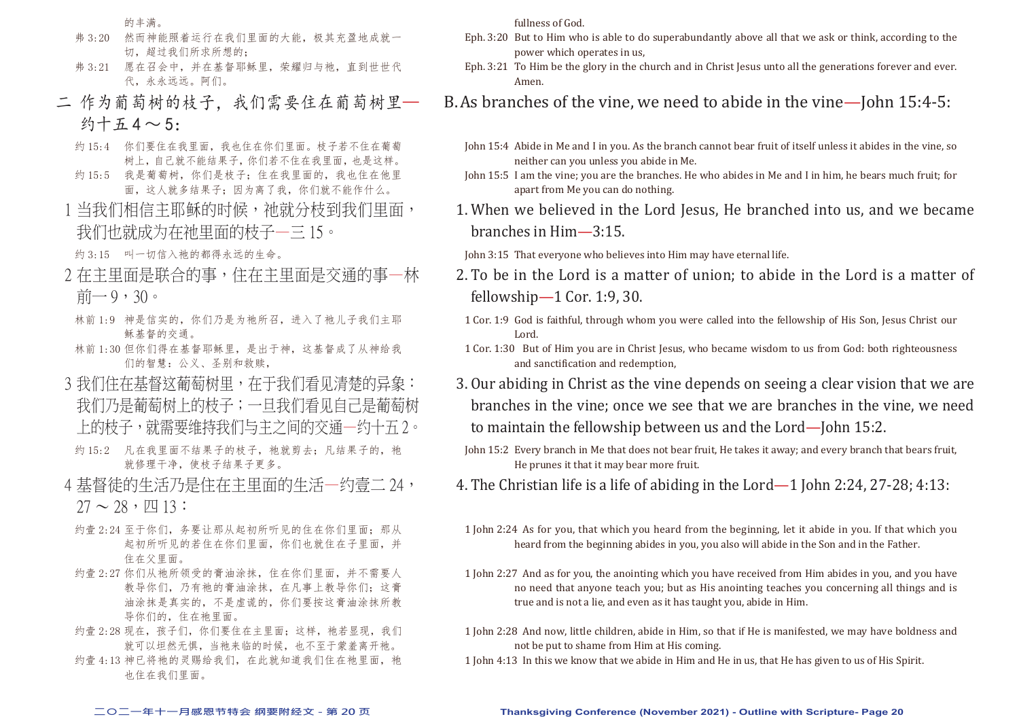的丰满。

- 弗 3:20 然而神能照着运行在我们里面的大能,极其充盈地成就一 切,超过我们所求所想的;
- 弗 3:21 愿在召会中,并在基督耶稣里,荣耀归与祂,直到世世代 代,永永远远。阿们。
- 二 作为葡萄树的枝子,我们需要住在葡萄树里— 约十五 $4 \sim 5$ :
	- 约 15:4 你们要住在我里面,我也住在你们里面。枝子若不住在葡萄 树上,自己就不能结果子,你们若不住在我里面,也是这样。
	- 约 15:5 我是葡萄树,你们是枝子;住在我里面的,我也住在他里 面,这人就多结果子;因为离了我,你们就不能作什么。
	- 1 当我们相信主耶稣的时候,祂就分枝到我们里面, 我们也就成为在祂里面的枝子—三 15。

约 3:15 叫一切信入祂的都得永远的生命。

- 2 在主里面是联合的事,住在主里面是交通的事—林 前一9,30。
- 林前 1:9 神是信实的,你们乃是为祂所召,进入了祂儿子我们主耶 稣基督的交通。
- 林前 1:30 但你们得在基督耶稣里,是出于神,这基督成了从神给我 们的智慧:公义、圣别和救赎,
- 3 我们住在基督这葡萄树里,在干我们看见清楚的异象: 我们乃是葡萄树上的枝子;一旦我们看见自己是葡萄树 上的枝子,就需要维持我们与主之间的交通—约十五 2。
- 约 15:2 凡在我里面不结果子的枝子, 祂就剪去; 凡结果子的, 祂 就修理干净,使枝子结果子更多。
- 4 基督徒的生活乃是住在主里面的生活—约壹二 24,  $27 \sim 28$ ,  $\overline{\text{U}}$  13:
- 约壹 2:24 至于你们, 务要让那从起初所听见的住在你们里面: 那从 起初所听见的若住在你们里面,你们也就住在子里面,并 住在父里面。
- 约壹 2:27 你们从祂所领受的膏油涂抹, 住在你们里面, 并不需要人 教导你们,乃有祂的膏油涂抹,在凡事上教导你们;这膏 油涂抹是真实的,不是虚谎的,你们要按这膏油涂抹所教 导你们的,住在祂里面。
- 约壹 2:28 现在, 孩子们, 你们要住在主里面; 这样, 祂若显现, 我们 就可以坦然无惧,当祂来临的时候,也不至于蒙羞离开祂。
- 约壹 4:13 神已将祂的灵赐给我们, 在此就知道我们住在祂里面, 祂 也住在我们里面。

fullness of God.

- Eph. 3:20 But to Him who is able to do superabundantly above all that we ask or think, according to the power which operates in us,
- Eph. 3:21 To Him be the glory in the church and in Christ Jesus unto all the generations forever and ever. Amen.

## B. As branches of the vine, we need to abide in the vine—John 15:4-5:

- John 15:4 Abide in Me and I in you. As the branch cannot bear fruit of itself unless it abides in the vine, so neither can you unless you abide in Me.
- John 15:5 I am the vine; you are the branches. He who abides in Me and I in him, he bears much fruit; for apart from Me you can do nothing.
- 1. When we believed in the Lord Jesus, He branched into us, and we became branches in Him—3:15.
- John 3:15 That everyone who believes into Him may have eternal life.
- 2. To be in the Lord is a matter of union; to abide in the Lord is a matter of fellowship—1 Cor. 1:9, 30.
- 1 Cor. 1:9 God is faithful, through whom you were called into the fellowship of His Son, Jesus Christ our Lord.
- 1 Cor. 1:30 But of Him you are in Christ Jesus, who became wisdom to us from God: both righteousness and sanctification and redemption,
- 3. Our abiding in Christ as the vine depends on seeing a clear vision that we are branches in the vine; once we see that we are branches in the vine, we need to maintain the fellowship between us and the Lord—John 15:2.
- John 15:2 Every branch in Me that does not bear fruit, He takes it away; and every branch that bears fruit, He prunes it that it may bear more fruit.
- 4. The Christian life is a life of abiding in the Lord—1 John 2:24, 27-28; 4:13:
- 1 John 2:24 As for you, that which you heard from the beginning, let it abide in you. If that which you heard from the beginning abides in you, you also will abide in the Son and in the Father.
- 1 John 2:27 And as for you, the anointing which you have received from Him abides in you, and you have no need that anyone teach you; but as His anointing teaches you concerning all things and is true and is not a lie, and even as it has taught you, abide in Him.
- 1 John 2:28 And now, little children, abide in Him, so that if He is manifested, we may have boldness and not be put to shame from Him at His coming.
- 1 John 4:13 In this we know that we abide in Him and He in us, that He has given to us of His Spirit.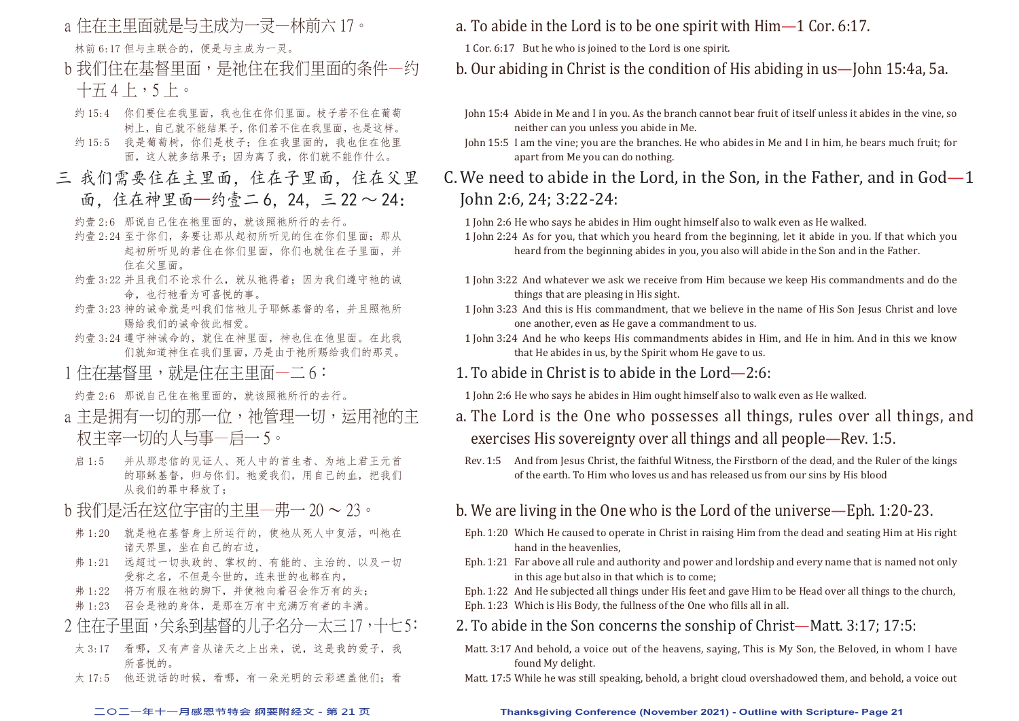- a 住在主里面就是与主成为一灵一林前六 17。 林前 6:17 但与主联合的,便是与主成为一灵。
- b 我们住在基督里面,是祂住在我们里面的条件一约 十五 4 上,5 上。
- 约 15:4 你们要住在我里面,我也住在你们里面。枝子若不住在葡萄 树上,自己就不能结果子,你们若不住在我里面,也是这样。
- 约15:5 我是葡萄树,你们是枝子;住在我里面的,我也住在他里 面,这人就多结果子;因为离了我,你们就不能作什么。
- 三 我们需要住在主里面,住在子里面,住在父里 面,住在神里面—约壹二 6, 24, 三 22 ~ 24:
	- 约壹 2:6 那说自己住在祂里面的, 就该照祂所行的去行。
	- 约壹 2:24 至于你们, 务要让那从起初所听见的住在你们里面; 那从 起初所听见的若住在你们里面,你们也就住在子里面,并 住在父里面。
	- 约壹 3:22 并且我们不论求什么, 就从祂得着; 因为我们遵守祂的诫 命,也行祂看为可喜悦的事。
	- 约壹 3:23 神的诫命就是叫我们信祂儿子耶稣基督的名,并且照祂所 赐给我们的诫命彼此相爱。
	- 约壹 3:24 遵守神诫命的,就住在神里面,神也住在他里面。在此我 们就知道神住在我们里面,乃是由于祂所赐给我们的那灵。
	- 1 住在基督里, 就是住在主里面一二 6:

约壹 2:6 那说自己住在祂里面的,就该照祂所行的去行。

- a 主是拥有一切的那一位, 祂管理一切, 运用祂的主 权主宰一切的人与事—启一 5。
- 启 1:5 并从那忠信的见证人、死人中的首生者、为地上君王元首 的耶稣基督,归与你们。祂爱我们,用自己的血,把我们 从我们的罪中释放了;
- b 我们是活在这位宇宙的主里—弗一 20 ~ 23。
- 弗 1:20 就是祂在基督身上所运行的, 使祂从死人中复活, 叫祂在 诸天界里,坐在自己的右边,
- 弗 1:21 远超过一切执政的、掌权的、有能的、主治的、以及一切 受称之名,不但是今世的,连来世的也都在内,
- 弗 1:22 将万有服在祂的脚下,并使祂向着召会作万有的头;
- 弗 1:23 召会是祂的身体,是那在万有中充满万有者的丰满。

## 2 住在子里面,关系到基督的儿子名分—太三 17,十七 5:

- 太 3:17 看哪,又有声音从诸天之上出来,说,这是我的爱子,我 所喜悦的。
- 太 17:5 他还说话的时候,看哪,有一朵光明的云彩遮盖他们;看

a. To abide in the Lord is to be one spirit with  $\lim_{n \to \infty} 1$  Cor. 6:17.

1 Cor. 6:17 But he who is joined to the Lord is one spirit.

b. Our abiding in Christ is the condition of His abiding in us—John 15:4a, 5a.

- John 15:4 Abide in Me and I in you. As the branch cannot bear fruit of itself unless it abides in the vine, so neither can you unless you abide in Me.
- John 15:5 I am the vine; you are the branches. He who abides in Me and I in him, he bears much fruit; for apart from Me you can do nothing.
- C. We need to abide in the Lord, in the Son, in the Father, and in God—1 John 2:6, 24; 3:22-24:
	- 1 John 2:6 He who says he abides in Him ought himself also to walk even as He walked.
	- 1 John 2:24 As for you, that which you heard from the beginning, let it abide in you. If that which you heard from the beginning abides in you, you also will abide in the Son and in the Father.
	- 1 John 3:22 And whatever we ask we receive from Him because we keep His commandments and do the things that are pleasing in His sight.
	- 1 John 3:23 And this is His commandment, that we believe in the name of His Son Jesus Christ and love one another, even as He gave a commandment to us.
	- 1 John 3:24 And he who keeps His commandments abides in Him, and He in him. And in this we know that He abides in us, by the Spirit whom He gave to us.
	- 1. To abide in Christ is to abide in the Lord— $2:6$ :
	- 1 John 2:6 He who says he abides in Him ought himself also to walk even as He walked.
	- a. The Lord is the One who possesses all things, rules over all things, and exercises His sovereignty over all things and all people—Rev. 1:5.
	- Rev. 1:5 And from Jesus Christ, the faithful Witness, the Firstborn of the dead, and the Ruler of the kings of the earth. To Him who loves us and has released us from our sins by His blood

## b. We are living in the One who is the Lord of the universe—Eph. 1:20-23.

- Eph. 1:20 Which He caused to operate in Christ in raising Him from the dead and seating Him at His right hand in the heavenlies,
- Eph. 1:21 Far above all rule and authority and power and lordship and every name that is named not only in this age but also in that which is to come;

Eph. 1:22 And He subjected all things under His feet and gave Him to be Head over all things to the church, Eph. 1:23 Which is His Body, the fullness of the One who fills all in all.

- 2. To abide in the Son concerns the sonship of Christ—Matt. 3:17: 17:5:
- Matt. 3:17 And behold, a voice out of the heavens, saying, This is My Son, the Beloved, in whom I have found My delight.
- Matt. 17:5 While he was still speaking, behold, a bright cloud overshadowed them, and behold, a voice out

#### **二○二一年十一月感恩节特会 纲要附经文 - 第 21 页 Thanksgiving Conference (November 2021) - Outline with Scripture- Page 21**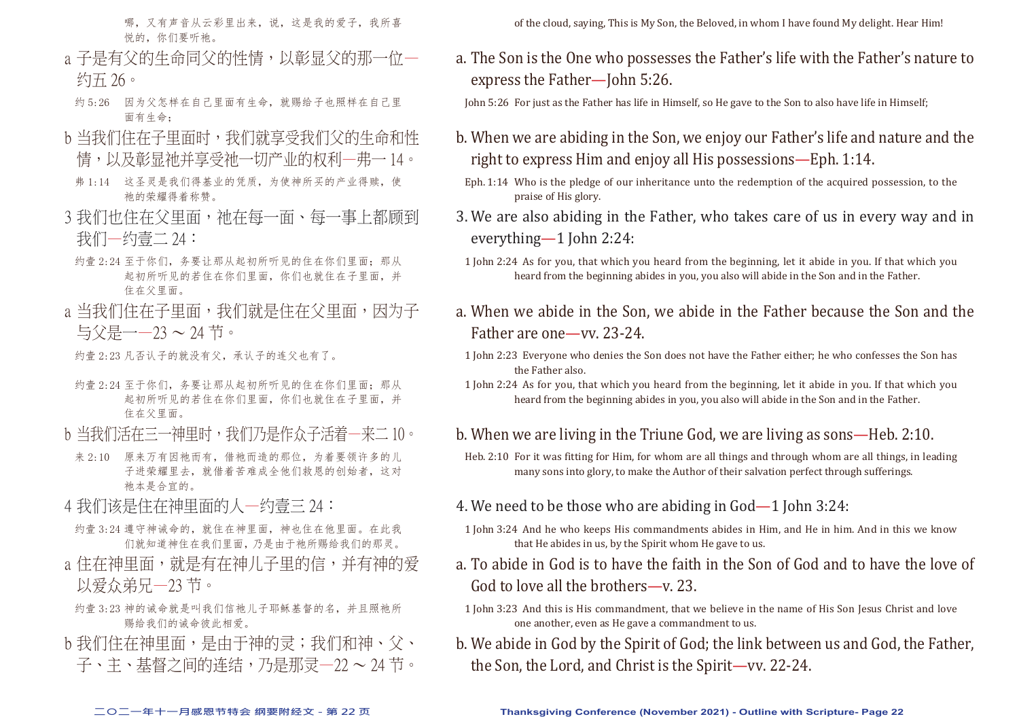哪,又有声音从云彩里出来,说,这是我的爱子,我所喜 悦的, 你们要听祂。

- a 子是有父的生命同父的性情,以彰显父的那一位— 约五 26。
- 约 5:26 因为父怎样在自己里面有生命,就赐给子也照样在自己里 面有生命;
- b 当我们住在子里面时,我们就享受我们父的生命和性 情,以及彰显祂并享受祂一切产业的权利—弗一 14。
- 弗 1:14 这圣灵是我们得基业的凭质,为使神所买的产业得赎,使 祂的荣耀得着称赞。
- 3 我们也住在父里面, 祂在每一面、每一事上都顾到 我们—约壹二 24:
- 约壹 2:24 至于你们, 务要让那从起初所听见的住在你们里面; 那从 起初所听见的若住在你们里面,你们也就住在子里面,并 住在父里面。
- a 当我们住在子里面,我们就是住在父里面,因为子 与父是一—23 ~ 24 节。
- 约壹 2:23 凡否认子的就没有父,承认子的连父也有了。
- 约壹 2:24 至于你们, 务要让那从起初所听见的住在你们里面; 那从 起初所听见的若住在你们里面,你们也就住在子里面,并 住在父里面。
- b 当我们活在三一神里时,我们乃是作众子活着一来二 10。
- 来 2:10 原来万有因祂而有, 借祂而造的那位, 为着要领许多的儿 子进荣耀里去,就借着苦难成全他们救恩的创始者,这对 祂本是合宜的。
- 4 我们该是住在神里面的人一约壹三 24:
- 约壹 3:24 遵守神诫命的,就住在神里面,神也住在他里面。在此我 们就知道神住在我们里面,乃是由于祂所赐给我们的那灵。
- a 住在神里面, 就是有在神儿子里的信, 并有神的爱 以爱众弟兄—23 节。
- 约壹 3:23 神的诫命就是叫我们信祂儿子耶稣基督的名,并且照祂所 赐给我们的诫命彼此相爱。
- b 我们住在神里面, 是由于神的灵; 我们和神、父、 子、主、基督之间的连结,乃是那灵—22 ~ 24 节。

of the cloud, saying, This is My Son, the Beloved, in whom I have found My delight. Hear Him!

a. The Son is the One who possesses the Father's life with the Father's nature to express the Father—John 5:26.

John 5:26 For just as the Father has life in Himself, so He gave to the Son to also have life in Himself;

- b. When we are abiding in the Son, we enjoy our Father's life and nature and the right to express Him and enjoy all His possessions—Eph. 1:14.
- Eph. 1:14 Who is the pledge of our inheritance unto the redemption of the acquired possession, to the praise of His glory.
- 3. We are also abiding in the Father, who takes care of us in every way and in everything—1 John 2:24:
- 1 John 2:24 As for you, that which you heard from the beginning, let it abide in you. If that which you heard from the beginning abides in you, you also will abide in the Son and in the Father.
- a. When we abide in the Son, we abide in the Father because the Son and the Father are one—vv. 23-24.
- 1 John 2:23 Everyone who denies the Son does not have the Father either; he who confesses the Son has the Father also.
- 1 John 2:24 As for you, that which you heard from the beginning, let it abide in you. If that which you heard from the beginning abides in you, you also will abide in the Son and in the Father.

## b. When we are living in the Triune God, we are living as sons—Heb. 2:10.

- Heb. 2:10 For it was fitting for Him, for whom are all things and through whom are all things, in leading many sons into glory, to make the Author of their salvation perfect through sufferings.
- 4. We need to be those who are abiding in God—1 John 3:24:
- 1 John 3:24 And he who keeps His commandments abides in Him, and He in him. And in this we know that He abides in us, by the Spirit whom He gave to us.
- a. To abide in God is to have the faith in the Son of God and to have the love of God to love all the brothers—v. 23.
- 1 John 3:23 And this is His commandment, that we believe in the name of His Son Jesus Christ and love one another, even as He gave a commandment to us.
- b. We abide in God by the Spirit of God; the link between us and God, the Father, the Son, the Lord, and Christ is the Spirit—vv. 22-24.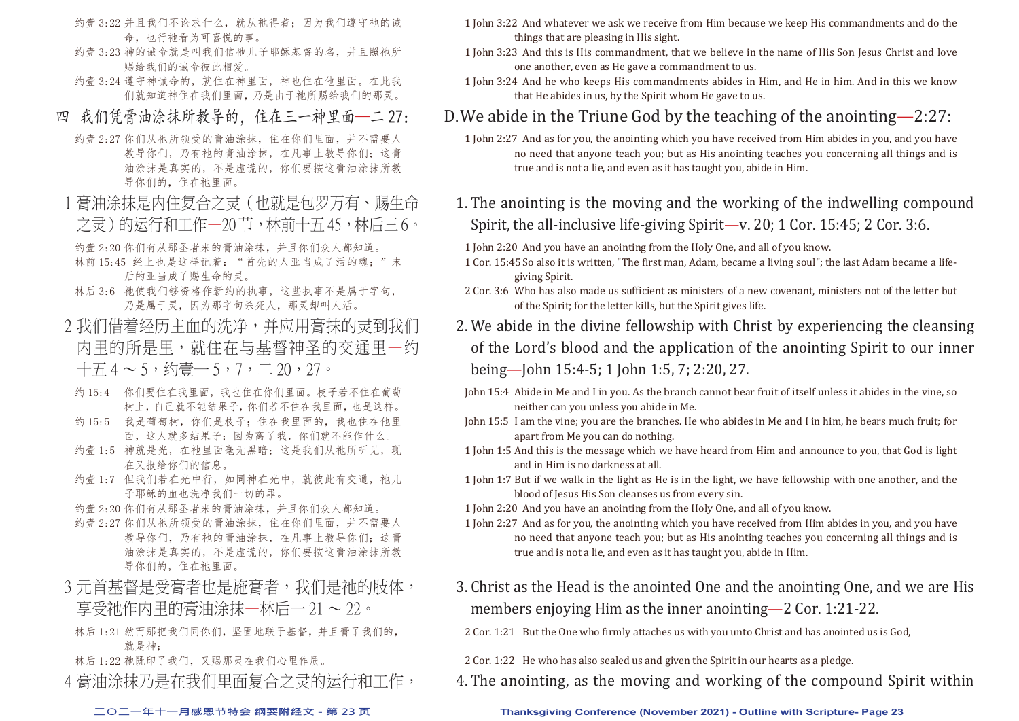- 约壹 3:22 并且我们不论求什么, 就从祂得着; 因为我们遵守祂的诫 命,也行祂看为可喜悦的事。
- 约壹 3:23 神的诫命就是叫我们信袖儿子耶稣基督的名,并且照袖所 赐给我们的诫命彼此相爱。
- 约壹 3:24 遵守神诫命的,就住在神里面,神也住在他里面。在此我 们就知道神住在我们里面,乃是由于祂所赐给我们的那灵。
- 四 我们凭膏油涂抹所教导的, 住在三一神里面—二 27:
	- 约壹 2:27 你们从祂所领受的膏油涂抹, 住在你们里面, 并不需要人 教导你们,乃有祂的膏油涂抹,在凡事上教导你们;这膏 油涂抹是真实的,不是虚谎的,你们要按这膏油涂抹所教 导你们的,住在祂里面。
- 1 膏油涂抹是内住复合之灵(也就是包罗万有、赐生命 之灵)的运行和工作—20 节,林前十五 45,林后三 6。
	- 约壹 2:20 你们有从那圣者来的膏油涂抹,并且你们众人都知道。
- 林前 15:45 经上也是这样记着: "首先的人亚当成了活的魂; "末 后的亚当成了赐生命的灵。
- 林后 3:6 祂使我们够资格作新约的执事,这些执事不是属于字句, 乃是属于灵,因为那字句杀死人,那灵却叫人活。
- 2 我们借着经历主血的洗净,并应用膏抹的灵到我们 内里的所是里,就住在与基督神圣的交通里—约  $+774 - 5, \, \, \text{\&} \sqrt{27} - 5, \, \, 7, \, \text{\&} \sqrt{27} - 20, \, \, 27.$ 
	- 约 15:4 你们要住在我里面,我也住在你们里面。枝子若不住在葡萄 树上,自己就不能结果子,你们若不住在我里面,也是这样。
	- 约 15:5 我是葡萄树, 你们是枝子; 住在我里面的, 我也住在他里 面,这人就多结果子;因为离了我,你们就不能作什么。
	- 约壹 1:5 神就是光, 在祂里面毫无黑暗; 这是我们从祂所听见, 现 在又报给你们的信息。
	- 约壹 1:7 但我们若在光中行,如同神在光中, 就彼此有交通, 祂儿 子耶稣的血也洗净我们一切的罪。
	- 约壹 2:20 你们有从那圣者来的膏油涂抹,并且你们众人都知道。
	- 约壹 2:27 你们从祂所领受的膏油涂抹, 住在你们里面, 并不需要人 教导你们,乃有祂的膏油涂抹,在凡事上教导你们;这膏 油涂抹是真实的,不是虚谎的,你们要按这膏油涂抹所教 导你们的,住在祂里面。
- 3 元首基督是受膏者也是施膏者, 我们是祂的肢体, 享受祂作内里的膏油涂抹—林后一 21 ~ 22。
	- 林后 1:21 然而那把我们同你们,坚固地联于基督,并且膏了我们的, 就是神;
	- 林后 1:22 祂既印了我们,又赐那灵在我们心里作质。
- 4 膏油涂抹乃是在我们里面复合之灵的运行和工作,
- 1 John 3:22 And whatever we ask we receive from Him because we keep His commandments and do the things that are pleasing in His sight.
- 1 John 3:23 And this is His commandment, that we believe in the name of His Son Jesus Christ and love one another, even as He gave a commandment to us.
- 1 John 3:24 And he who keeps His commandments abides in Him, and He in him. And in this we know that He abides in us, by the Spirit whom He gave to us.

## D. We abide in the Triune God by the teaching of the anointing  $-2:27$ :

- 1 John 2:27 And as for you, the anointing which you have received from Him abides in you, and you have no need that anyone teach you; but as His anointing teaches you concerning all things and is true and is not a lie, and even as it has taught you, abide in Him.
- 1. The anointing is the moving and the working of the indwelling compound Spirit, the all-inclusive life-giving Spirit—v. 20; 1 Cor. 15:45; 2 Cor. 3:6.
- 1 John 2:20 And you have an anointing from the Holy One, and all of you know.
- 1 Cor. 15:45 So also it is written, "The first man, Adam, became a living soul"; the last Adam became a lifegiving Spirit.
- 2 Cor. 3:6 Who has also made us sufficient as ministers of a new covenant, ministers not of the letter but of the Spirit; for the letter kills, but the Spirit gives life.
- 2. We abide in the divine fellowship with Christ by experiencing the cleansing of the Lord's blood and the application of the anointing Spirit to our inner being—John 15:4-5; 1 John 1:5, 7; 2:20, 27.
- John 15:4 Abide in Me and I in you. As the branch cannot bear fruit of itself unless it abides in the vine, so neither can you unless you abide in Me.
- John 15:5 I am the vine; you are the branches. He who abides in Me and I in him, he bears much fruit; for apart from Me you can do nothing.
- 1 John 1:5 And this is the message which we have heard from Him and announce to you, that God is light and in Him is no darkness at all.
- 1 John 1:7 But if we walk in the light as He is in the light, we have fellowship with one another, and the blood of Jesus His Son cleanses us from every sin.
- 1 John 2:20 And you have an anointing from the Holy One, and all of you know.
- 1 John 2:27 And as for you, the anointing which you have received from Him abides in you, and you have no need that anyone teach you; but as His anointing teaches you concerning all things and is true and is not a lie, and even as it has taught you, abide in Him.
- 3. Christ as the Head is the anointed One and the anointing One, and we are His members enjoying Him as the inner anointing—2 Cor. 1:21-22.
- 2 Cor. 1:21 But the One who firmly attaches us with you unto Christ and has anointed us is God,
- 2 Cor. 1:22 He who has also sealed us and given the Spirit in our hearts as a pledge.
- 4. The anointing, as the moving and working of the compound Spirit within

### **二○二一年十一月感恩节特会 纲要附经文 - 第 23 页 Thanksgiving Conference (November 2021) - Outline with Scripture- Page 23**